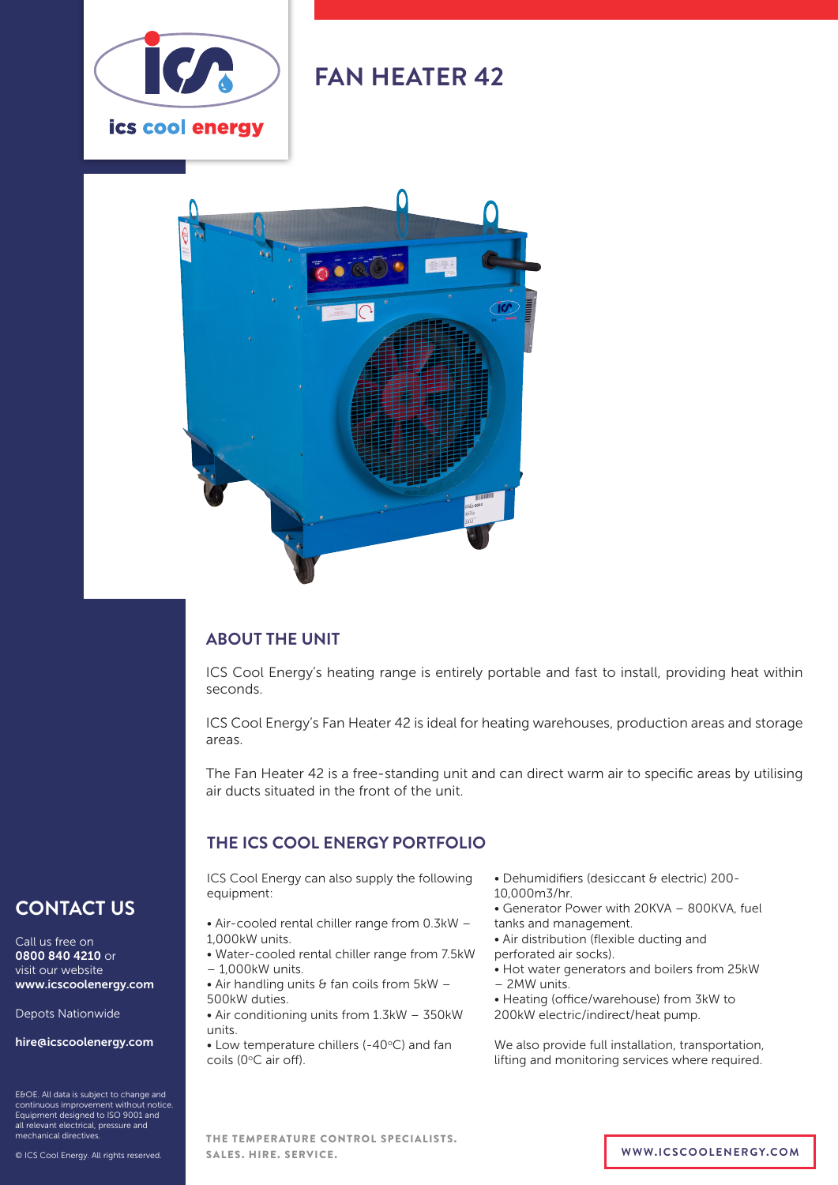

## **FAN HEATER 42**



#### **ABOUT THE UNIT**

ICS Cool Energy's heating range is entirely portable and fast to install, providing heat within seconds.

ICS Cool Energy's Fan Heater 42 is ideal for heating warehouses, production areas and storage areas.

The Fan Heater 42 is a free-standing unit and can direct warm air to specific areas by utilising air ducts situated in the front of the unit.

#### **THE ICS COOL ENERGY PORTFOLIO**

ICS Cool Energy can also supply the following equipment:

- Air-cooled rental chiller range from 0.3kW 1,000kW units.
- Water-cooled rental chiller range from 7.5kW – 1,000kW units.
- Air handling units  $\theta$  fan coils from  $5kW -$ 500kW duties.
- Air conditioning units from 1.3kW 350kW units.
- Low temperature chillers (-40°C) and fan coils (0°C air off).
- Dehumidifiers (desiccant & electric) 200- 10,000m3/hr.
- Generator Power with 20KVA 800KVA, fuel tanks and management.
- Air distribution (flexible ducting and perforated air socks).
- 
- Hot water generators and boilers from 25kW – 2MW units.
- Heating (office/warehouse) from 3kW to 200kW electric/indirect/heat pump.

We also provide full installation, transportation, lifting and monitoring services where required.

#### **CONTACT US**

Call us free on 0800 840 4210 or visit our website www.icscoolenergy.com

Depots Nationwide

hire@icscoolenergy.com

E&OE. All data is subject to change and continuous improvement without notice. Equipment designed to ISO 9001 and all relevant electrical, pressure and mechanical directives.

© ICS Cool Energy. All rights reserved.

THE TEMPERATURE CONTROL SPECIALISTS. SALES. HIRE. SERVICE. **WWW.ICSCOOLENERGY.COM**